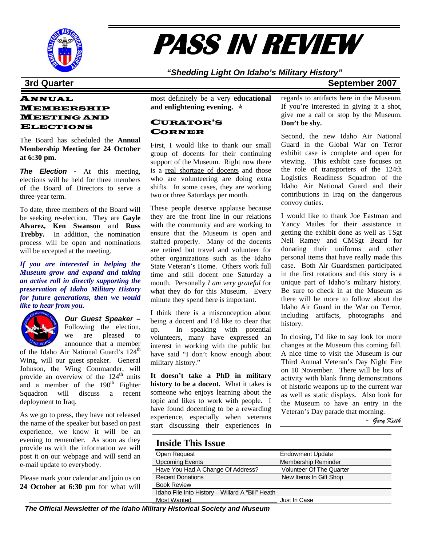

# **PASS IN REVIEW**

## *"Shedding Light On Idaho's Military History"*

### **3rd Quarter September 2007**

### ANNUAL MEMBERSHIP MEETING AND ELECTIONS

The Board has scheduled the **Annual Membership Meeting for 24 October at 6:30 pm.** 

*The Election -* At this meeting, elections will be held for three members of the Board of Directors to serve a three-year term.

To date, three members of the Board will be seeking re-election. They are **Gayle Alvarez, Ken Swanson** and **Russ Trebby.** In addition, the nomination process will be open and nominations will be accepted at the meeting.

*If you are interested in helping the Museum grow and expand and taking an active roll in directly supporting the preservation of Idaho Military History for future generations, then we would like to hear from you.* 



*Our Guest Speaker –*  Following the election, we are pleased to announce that a member

of the Idaho Air National Guard's 124<sup>th</sup> Wing, will our guest speaker. General Johnson, the Wing Commander, will provide an overview of the  $124<sup>th</sup>$  units and a member of the  $190<sup>th</sup>$  Fighter Squadron will discuss a recent deployment to Iraq.

As we go to press, they have not released the name of the speaker but based on past experience, we know it will be an evening to remember. As soon as they provide us with the information we will post it on our webpage and will send an e-mail update to everybody.

Please mark your calendar and join us on **24 October at 6:30 pm** for what will

most definitely be a very **educational**  and enlightening evening.  $\ast$ 

#### CURATOR'S CORNER

First, I would like to thank our small group of docents for their continuing support of the Museum. Right now there is a real shortage of docents and those who are volunteering are doing extra shifts. In some cases, they are working two or three Saturdays per month.

These people deserve applause because they are the front line in our relations with the community and are working to ensure that the Museum is open and staffed properly. Many of the docents are retired but travel and volunteer for other organizations such as the Idaho State Veteran's Home. Others work full time and still docent one Saturday a month. Personally *I am very grateful* for what they do for this Museum. Every minute they spend here is important.

I think there is a misconception about being a docent and I'd like to clear that up. In speaking with potential volunteers, many have expressed an interest in working with the public but have said "I don't know enough about military history."

**It doesn't take a PhD in military history to be a docent.** What it takes is someone who enjoys learning about the topic and likes to work with people. I have found docenting to be a rewarding experience, especially when veterans start discussing their experiences in regards to artifacts here in the Museum. If you're interested in giving it a shot, give me a call or stop by the Museum. **Don't be shy.** 

Second, the new Idaho Air National Guard in the Global War on Terror exhibit case is complete and open for viewing. This exhibit case focuses on the role of transporters of the 124th Logistics Readiness Squadron of the Idaho Air National Guard and their contributions in Iraq on the dangerous convoy duties.

I would like to thank Joe Eastman and Yancy Mailes for their assistance in getting the exhibit done as well as TSgt Neil Ramey and CMSgt Beard for donating their uniforms and other personal items that have really made this case. Both Air Guardsmen participated in the first rotations and this story is a unique part of Idaho's military history. Be sure to check in at the Museum as there will be more to follow about the Idaho Air Guard in the War on Terror, including artifacts, photographs and history.

In closing, I'd like to say look for more changes at the Museum this coming fall. A nice time to visit the Museum is our Third Annual Veteran's Day Night Fire on 10 November. There will be lots of activity with blank firing demonstrations of historic weapons up to the current war as well as static displays. Also look for the Museum to have an entry in the Veteran's Day parade that morning.

- *Gary Keith* 

## **Inside This Issue**

| ----------------------                           |                                 |  |  |
|--------------------------------------------------|---------------------------------|--|--|
| Open Request                                     | <b>Endowment Update</b>         |  |  |
| <b>Upcoming Events</b>                           | Membership Reminder             |  |  |
| Have You Had A Change Of Address?                | <b>Volunteer Of The Quarter</b> |  |  |
| <b>Recent Donations</b>                          | New Items In Gift Shop          |  |  |
| <b>Book Review</b>                               |                                 |  |  |
| Idaho File Into History - Willard A "Bill" Heath |                                 |  |  |
| <b>Most Wanted</b>                               | Just In Case                    |  |  |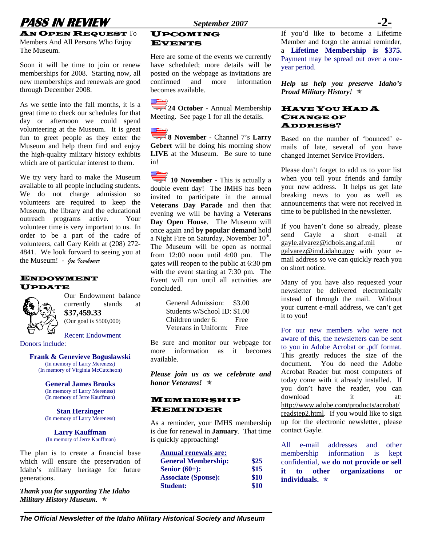## **PASS IN REVIEW September 2007**

**AN OPEN REQUEST**  $To$ Members And All Persons Who Enjoy The Museum.

Soon it will be time to join or renew memberships for 2008. Starting now, all new memberships and renewals are good through December 2008.

As we settle into the fall months, it is a great time to check our schedules for that day or afternoon we could spend volunteering at the Museum. It is great fun to greet people as they enter the Museum and help them find and enjoy the high-quality military history exhibits which are of particular interest to them.

We try very hard to make the Museum available to all people including students. We do not charge admission so volunteers are required to keep the Museum, the library and the educational outreach programs active. Your volunteer time is very important to us. In order to be a part of the cadre of volunteers, call Gary Keith at (208) 272- 4841. We look forward to seeing you at the Museum! - *Joe Icenhower* 

#### ENDOWMENT UPDATE



Our Endowment balance currently stands at **\$37,459.33**  (Our goal is \$500,000)

Recent Endowment

Donors include:

### **Frank & Genevieve Boguslawski**

(In memory of Larry Mereness) (In memory of Virginia McCutcheon)

**General James Brooks**  (In memory of Larry Mereness) (In memory of Jerre Kauffman)

**Stan Herzinger**  (In memory of Larry Mereness)

#### **Larry Kauffman**  (In memory of Jerre Kauffman)

The plan is to create a financial base which will ensure the preservation of Idaho's military heritage for future generations.

*Thank you for supporting The Idaho Military History Museum.*  $\ast$ 

### UPCOMING EVENTS

Here are some of the events we currently have scheduled; more details will be posted on the webpage as invitations are confirmed and more information becomes available.

**24 October - Annual Membership** Meeting.See page 1 for all the details.

**8 November** - Channel 7's **Larry Gebert** will be doing his morning show **LIVE** at the Museum. Be sure to tune in!

**10 November - This is actually a** double event day! The IMHS has been invited to participate in the annual **Veterans Day Parade** and then that evening we will be having a **Veterans Day Open House**. The Museum will once again and **by popular demand** hold a Night Fire on Saturday, November 10<sup>th</sup>. The Museum will be open as normal from 12:00 noon until 4:00 pm. The gates will reopen to the public at 6:30 pm with the event starting at 7:30 pm. The Event will run until all activities are concluded.

| General Admission:           | \$3.00 |
|------------------------------|--------|
| Students w/School ID: \$1.00 |        |
| Children under 6:            | Free   |
| Veterans in Uniform:         | Free   |

Be sure and monitor our webpage for more information as it becomes available.

*Please join us as we celebrate and honor Veterans!* Õ

#### MEMBERSHIP REMINDER

As a reminder, your IMHS membership is due for renewal in **January**. That time is quickly approaching!

| <b>Annual renewals are:</b> |      |
|-----------------------------|------|
| <b>General Membership:</b>  | \$25 |
| Senior $(60+)$ :            | \$15 |
| <b>Associate (Spouse):</b>  | \$10 |
| <b>Student:</b>             | \$10 |

If you'd like to become a Lifetime Member and forgo the annual reminder, a **Lifetime Membership is \$375.**  Payment may be spread out over a oneyear period.

*Help us help you preserve Idaho's Proud Military History!* Õ

#### HAVE YOU HAD A CHANGE OF ADDRESS?

Based on the number of 'bounced' emails of late, several of you have changed Internet Service Providers.

Please don't forget to add us to your list when you tell your friends and family your new address. It helps us get late breaking news to you as well as announcements that were not received in time to be published in the newsletter.

If you haven't done so already, please send Gayle a short e-mail at [gayle.alvarez@idbois.ang.af.mil](mailto:gayle.alvarez@idbois.ang.af.mil) or [galvarez@imd.idaho.gov](mailto:galvarez@imd.idaho.gov) with your email address so we can quickly reach you on short notice.

Many of you have also requested your newsletter be delivered electronically instead of through the mail. Without your current e-mail address, we can't get it to you!

For our new members who were not aware of this, the newsletters can be sent to you in Adobe Acrobat or .pdf format. This greatly reduces the size of the document. You do need the Adobe Acrobat Reader but most computers of today come with it already installed. If you don't have the reader, you can download it at: [http://www.adobe.com/products/acrobat/](http://www.adobe.com/products/acrobat/readstep2.html) [readstep2.html](http://www.adobe.com/products/acrobat/readstep2.html). If you would like to sign up for the electronic newsletter, please contact Gayle.

All e-mail addresses and other membership information is kept confidential, we **do not provide or sell it to other organizations or individuals.**  $\star$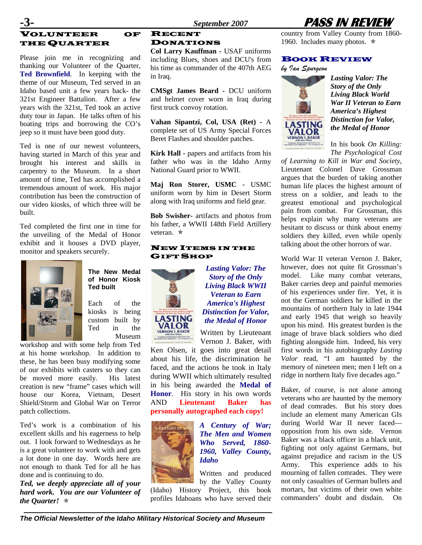## VOLUNTEER OF THE QUARTER

Please join me in recognizing and thanking our Volunteer of the Quarter, **Ted Brownfield**. In keeping with the theme of our Museum, Ted served in an Idaho based unit a few years back- the 321st Engineer Battalion. After a few years with the 321st, Ted took an active duty tour in Japan. He talks often of his boating trips and borrowing the CO's jeep so it must have been good duty.

Ted is one of our newest volunteers, having started in March of this year and brought his interest and skills in carpentry to the Museum. In a short amount of time, Ted has accomplished a tremendous amount of work. His major contribution has been the construction of our video kiosks, of which three will be built.

Ted completed the first one in time for the unveiling of the Medal of Honor exhibit and it houses a DVD player, monitor and speakers securely.



**The New Medal of Honor Kiosk Ted built** 

Each of the kiosks is being custom built by Ted in the Museum

workshop and with some help from Ted at his home workshop. In addition to these, he has been busy modifying some of our exhibits with casters so they can be moved more easily. His latest creation is new "frame" cases which will house our Korea, Vietnam, Desert Shield/Storm and Global War on Terror patch collections.

Ted's work is a combination of his excellent skills and his eagerness to help out. I look forward to Wednesdays as he is a great volunteer to work with and gets a lot done in one day. Words here are not enough to thank Ted for all he has done and is continuing to do.

*Ted, we deeply appreciate all of your hard work. You are our Volunteer of the Quarter!*  $\star$ 

## RECENT DONATIONS

**Col Larry Kauffman -** USAF uniforms including Blues, shoes and DCU's from his time as commander of the 407th AEG in Iraq.

**CMSgt James Beard -** DCU uniform and helmet cover worn in Iraq during first truck convoy rotation.

**Vahan Sipantzi, Col, USA (Ret) -** A complete set of US Army Special Forces Beret Flashes and shoulder patches.

**Kirk Hall - papers and artifacts from his** father who was in the Idaho Army National Guard prior to WWII.

**Maj Ron Storer, USMC -** USMC uniform worn by him in Desert Storm along with Iraq uniforms and field gear.

**Bob Swisher-** artifacts and photos from his father, a WWII 148th Field Artillery veteran. ★

#### NEW ITEMS IN THE GIFT SHOP



*Lasting Valor: The Story of the Only Living Black WWII Veteran to Earn America's Highest Distinction for Valor, the Medal of Honor*  Written by Lieutenant

Vernon J. Baker, with Ken Olsen, it goes into great detail about his life, the discrimination he faced, and the actions he took in Italy during WWII which ultimately resulted in his being awarded the **Medal of Honor**. His story in his own words AND **Lieutenant Baker has** 

**personally autographed each copy!** 



*A Century of War; The Men and Women Who Served, 1860- 1960, Valley County, Idaho* 

Written and produced by the Valley County (Idaho) History Project, this book profiles Idahoans who have served their



country from Valley County from 1860- 1960. Includes many photos.  $\star$ 

#### BOOK REVIEW





*Lasting Valor: The Story of the Only Living Black World War II Veteran to Earn America's Highest Distinction for Valor, the Medal of Honor* 

In his book *On Killing: The Psychological Cost* 

*of Learning to Kill in War and Society*, Lieutenant Colonel Dave Grossman argues that the burden of taking another human life places the highest amount of stress on a soldier, and leads to the greatest emotional and psychological pain from combat. For Grossman, this helps explain why many veterans are hesitant to discuss or think about enemy soldiers they killed, even while openly talking about the other horrors of war.

World War II veteran Vernon J. Baker, however, does not quite fit Grossman's model. Like many combat veterans, Baker carries deep and painful memories of his experiences under fire. Yet, it is not the German soldiers he killed in the mountains of northern Italy in late 1944 and early 1945 that weigh so heavily upon his mind. His greatest burden is the image of brave black soldiers who died fighting alongside him. Indeed, his very first words in his autobiography *Lasting Valor* read, "I am haunted by the memory of nineteen men; men I left on a ridge in northern Italy five decades ago."

Baker, of course, is not alone among veterans who are haunted by the memory of dead comrades. But his story does include an element many American GIs during World War II never faced opposition from his own side. Vernon Baker was a black officer in a black unit, fighting not only against Germans, but against prejudice and racism in the US Army. This experience adds to his mourning of fallen comrades. They were not only casualties of German bullets and mortars, but victims of their own white commanders' doubt and disdain. On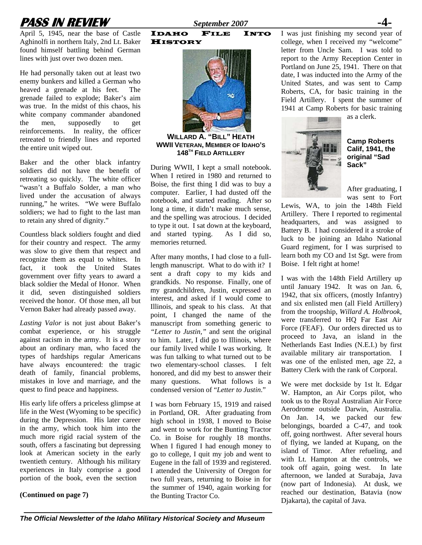

April 5, 1945, near the base of Castle Aghinolfi in northern Italy, 2nd Lt. Baker found himself battling behind German lines with just over two dozen men.

He had personally taken out at least two enemy bunkers and killed a German who heaved a grenade at his feet. The grenade failed to explode; Baker's aim was true. In the midst of this chaos, his white company commander abandoned the men, supposedly to get reinforcements. In reality, the officer retreated to friendly lines and reported the entire unit wiped out.

Baker and the other black infantry soldiers did not have the benefit of retreating so quickly. The white officer "wasn't a Buffalo Solder, a man who lived under the accusation of always running," he writes. "We were Buffalo soldiers; we had to fight to the last man to retain any shred of dignity."

Countless black soldiers fought and died for their country and respect. The army was slow to give them that respect and recognize them as equal to whites. In fact, it took the United States government over fifty years to award a black soldier the Medal of Honor. When it did, seven distinguished soldiers received the honor. Of those men, all but Vernon Baker had already passed away.

*Lasting Valor* is not just about Baker's combat experience, or his struggle against racism in the army. It is a story about an ordinary man, who faced the types of hardships regular Americans have always encountered: the tragic death of family, financial problems, mistakes in love and marriage, and the quest to find peace and happiness.

His early life offers a priceless glimpse at life in the West (Wyoming to be specific) during the Depression. His later career in the army, which took him into the much more rigid racial system of the south, offers a fascinating but depressing look at American society in the early twentieth century. Although his military experiences in Italy comprise a good portion of the book, even the section

#### **(Continued on page 7)**

IDAHO FILE INTO **HISTORY** 



**WILLARD A. "BILL" HEATH WWII VETERAN, MEMBER OF IDAHO'S 148TH FIELD ARTILLERY**

During WWII, I kept a small notebook. When I retired in 1980 and returned to Boise, the first thing I did was to buy a computer. Earlier, I had dusted off the notebook, and started reading. After so long a time, it didn't make much sense, and the spelling was atrocious. I decided to type it out. I sat down at the keyboard, and started typing. As I did so, memories returned.

After many months, I had close to a fulllength manuscript. What to do with it? I sent a draft copy to my kids and grandkids. No response. Finally, one of my grandchildren, Justin, expressed an interest, and asked if I would come to Illinois, and speak to his class. At that point, I changed the name of the manuscript from something generic to *"Letter to Justin,"* and sent the original to him. Later, I did go to Illinois, where our family lived while I was working. It was fun talking to what turned out to be two elementary-school classes. I felt honored, and did my best to answer their many questions. What follows is a condensed version of "*Letter to Justin*."

I was born February 15, 1919 and raised in Portland, OR. After graduating from high school in 1938, I moved to Boise and went to work for the Bunting Tractor Co. in Boise for roughly 18 months. When I figured I had enough money to go to college, I quit my job and went to Eugene in the fall of 1939 and registered. I attended the University of Oregon for two full years, returning to Boise in for the summer of 1940, again working for the Bunting Tractor Co.

I was just finishing my second year of college, when I received my "welcome" letter from Uncle Sam. I was told to report to the Army Reception Center in Portland on June 25, 1941. There on that date, I was inducted into the Army of the United States, and was sent to Camp Roberts, CA, for basic training in the Field Artillery. I spent the summer of 1941 at Camp Roberts for basic training



**Camp Roberts Calif, 1941, the original "Sad Sack"** 

as a clerk.

After graduating, I was sent to Fort

Lewis, WA, to join the 148th Field Artillery. There I reported to regimental headquarters, and was assigned to Battery B. I had considered it a stroke of luck to be joining an Idaho National Guard regiment, for I was surprised to learn both my CO and 1st Sgt. were from Boise. I felt right at home!

I was with the 148th Field Artillery up until January 1942. It was on Jan. 6, 1942, that six officers, (mostly Infantry) and six enlisted men (all Field Artillery) from the troopship, *Willard A. Holbrook*, were transferred to HQ Far East Air Force (FEAF). Our orders directed us to proceed to Java, an island in the Netherlands East Indies (N.E.I.) by first available military air transportation. I was one of the enlisted men, age 22, a Battery Clerk with the rank of Corporal.

We were met dockside by 1st lt. Edgar W. Hampton, an Air Corps pilot, who took us to the Royal Australian Air Force Aerodrome outside Darwin, Australia. On Jan. 14, we packed our few belongings, boarded a C-47, and took off, going northwest. After several hours of flying, we landed at Kupang, on the island of Timor. After refueling, and with Lt. Hampton at the controls, we took off again, going west. In late afternoon, we landed at Surabaja, Java (now part of Indonesia). At dusk, we reached our destination, Batavia (now Djakarta), the capital of Java.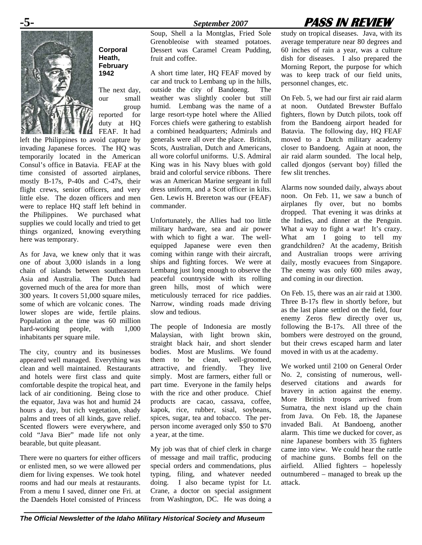## **-5-** *September 2007* **PASS IN REVIEW**



**Corporal Heath, February 1942** 

The next day, our small group reported for duty at HQ

FEAF. It had left the Philippines to avoid capture by invading Japanese forces. The HQ was temporarily located in the American Consul's office in Batavia. FEAF at the time consisted of assorted airplanes, mostly B-17s, P-40s and C-47s, their flight crews, senior officers, and very little else. The dozen officers and men were to replace HQ staff left behind in the Philippines. We purchased what supplies we could locally and tried to get things organized, knowing everything here was temporary.

As for Java, we knew only that it was one of about 3,000 islands in a long chain of islands between southeastern Asia and Australia. The Dutch had governed much of the area for more than 300 years. It covers 51,000 square miles, some of which are volcanic cones. The lower slopes are wide, fertile plains. Population at the time was 60 million hard-working people, with  $1,000$ inhabitants per square mile.

The city, country and its businesses appeared well managed. Everything was clean and well maintained. Restaurants and hotels were first class and quite comfortable despite the tropical heat, and lack of air conditioning. Being close to the equator, Java was hot and humid 24 hours a day, but rich vegetation, shady palms and trees of all kinds, gave relief. Scented flowers were everywhere, and cold "Java Bier" made life not only bearable, but quite pleasant.

There were no quarters for either officers or enlisted men, so we were allowed per diem for living expenses. We took hotel rooms and had our meals at restaurants. From a menu I saved, dinner one Fri. at the Daendels Hotel consisted of Princess

Soup, Shell a la Montglas, Fried Sole Grenobleoise with steamed potatoes. Dessert was Caramel Cream Pudding, fruit and coffee.

A short time later, HQ FEAF moved by car and truck to Lembang up in the hills, outside the city of Bandoeng. The weather was slightly cooler but still humid. Lembang was the name of a large resort-type hotel where the Allied Forces chiefs were gathering to establish a combined headquarters; Admirals and generals were all over the place. British, Scots, Australian, Dutch and Americans, all wore colorful uniforms. U.S. Admiral King was in his Navy blues with gold braid and colorful service ribbons. There was an American Marine sergeant in full dress uniform, and a Scot officer in kilts. Gen. Lewis H. Brereton was our (FEAF) commander.

Unfortunately, the Allies had too little military hardware, sea and air power with which to fight a war. The wellequipped Japanese were even then coming within range with their aircraft, ships and fighting forces. We were at Lembang just long enough to observe the peaceful countryside with its rolling green hills, most of which were meticulously terraced for rice paddies. Narrow, winding roads made driving slow and tedious.

The people of Indonesia are mostly Malaysian, with light brown skin, straight black hair, and short slender bodies. Most are Muslims. We found them to be clean, well-groomed, attractive, and friendly. They live simply. Most are farmers, either full or part time. Everyone in the family helps with the rice and other produce. Chief products are cacao, cassava, coffee, kapok, rice, rubber, sisal, soybeans, spices, sugar, tea and tobacco. The perperson income averaged only \$50 to \$70 a year, at the time.

My job was that of chief clerk in charge of message and mail traffic, producing special orders and commendations, plus typing, filing, and whatever needed doing. I also became typist for Lt. Crane, a doctor on special assignment from Washington, DC. He was doing a study on tropical diseases. Java, with its average temperature near 80 degrees and 60 inches of rain a year, was a culture dish for diseases. I also prepared the Morning Report, the purpose for which was to keep track of our field units, personnel changes, etc.

On Feb. 5, we had our first air raid alarm at noon. Outdated Brewster Buffalo fighters, flown by Dutch pilots, took off from the Bandoeng airport headed for Batavia. The following day, HQ FEAF moved to a Dutch military academy closer to Bandoeng. Again at noon, the air raid alarm sounded. The local help, called djongos (servant boy) filled the few slit trenches.

Alarms now sounded daily, always about noon. On Feb. 11, we saw a bunch of airplanes fly over, but no bombs dropped. That evening it was drinks at the Indies, and dinner at the Penguin. What a way to fight a war! It's crazy. What am I going to tell my grandchildren? At the academy, British and Australian troops were arriving daily, mostly evacuees from Singapore. The enemy was only 600 miles away, and coming in our direction.

On Feb. 15, there was an air raid at 1300. Three B-17s flew in shortly before, but as the last plane settled on the field, four enemy Zeros flew directly over us, following the B-17s. All three of the bombers were destroyed on the ground, but their crews escaped harm and later moved in with us at the academy.

We worked until 2100 on General Order No. 2, consisting of numerous, welldeserved citations and awards for bravery in action against the enemy. More British troops arrived from Sumatra, the next island up the chain from Java. On Feb. 18, the Japanese invaded Bali. At Bandoeng, another alarm. This time we ducked for cover, as nine Japanese bombers with 35 fighters came into view. We could hear the rattle of machine guns. Bombs fell on the airfield. Allied fighters – hopelessly outnumbered – managed to break up the attack.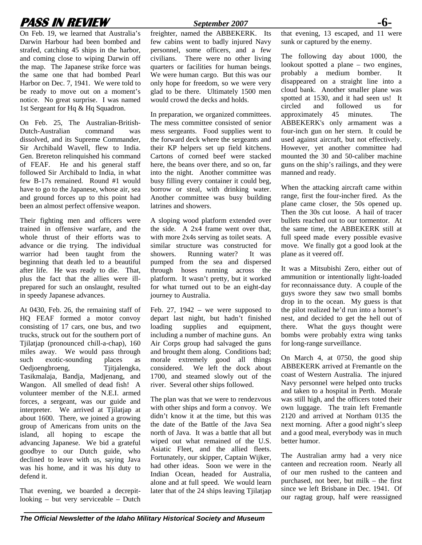## **PASS IN REVIEW** *September 2007* **-6-**

On Feb. 19, we learned that Australia's Darwin Harbour had been bombed and strafed, catching 45 ships in the harbor, and coming close to wiping Darwin off the map. The Japanese strike force was the same one that had bombed Pearl Harbor on Dec. 7, 1941. We were told to be ready to move out on a moment's notice. No great surprise. I was named 1st Sergeant for Hq & Hq Squadron.

On Feb. 25, The Australian-British-Dutch-Australian command was dissolved, and its Supreme Commander, Sir Archibald Wavell, flew to India. Gen. Brereton relinquished his command of FEAF. He and his general staff followed Sir Archibald to India, in what few B-17s remained. Round #1 would have to go to the Japanese, whose air, sea and ground forces up to this point had been an almost perfect offensive weapon.

Their fighting men and officers were trained in offensive warfare, and the whole thrust of their efforts was to advance or die trying. The individual warrior had been taught from the beginning that death led to a beautiful after life. He was ready to die. That, plus the fact that the allies were illprepared for such an onslaught, resulted in speedy Japanese advances.

At 0430, Feb. 26, the remaining staff of HQ FEAF formed a motor convoy consisting of 17 cars, one bus, and two trucks, struck out for the southern port of Tjilatjap (pronounced chill-a-chap), 160 miles away. We would pass through such exotic-sounding places as Oedjoengbroeng, Tjitjalengka, Tasikmalaja, Bandja, Madjenang, and Wangon. All smelled of dead fish! A volunteer member of the N.E.I. armed forces, a sergeant, was our guide and interpreter. We arrived at Tjilatjap at about 1600. There, we joined a growing group of Americans from units on the island, all hoping to escape the advancing Japanese. We bid a grateful goodbye to our Dutch guide, who declined to leave with us, saying Java was his home, and it was his duty to defend it.

That evening, we boarded a decrepitlooking – but very serviceable – Dutch

freighter, named the ABBEKERK. Its few cabins went to badly injured Navy personnel, some officers, and a few civilians. There were no other living quarters or facilities for human beings. We were human cargo. But this was our only hope for freedom, so we were very glad to be there. Ultimately 1500 men would crowd the decks and holds.

In preparation, we organized committees. The mess committee consisted of senior mess sergeants. Food supplies went to the forward deck where the sergeants and their KP helpers set up field kitchens. Cartons of corned beef were stacked here, the beans over there, and so on, far into the night. Another committee was busy filling every container it could beg, borrow or steal, with drinking water. Another committee was busy building latrines and showers.

A sloping wood platform extended over the side. A 2x4 frame went over that, with more 2x4s serving as toilet seats. A similar structure was constructed for showers. Running water? It was pumped from the sea and dispersed through hoses running across the platform. It wasn't pretty, but it worked for what turned out to be an eight-day journey to Australia.

Feb. 27,  $1942 -$  we were supposed to depart last night, but hadn't finished loading supplies and equipment, including a number of machine guns. An Air Corps group had salvaged the guns and brought them along. Conditions bad; morale extremely good all things considered. We left the dock about 1700, and steamed slowly out of the river. Several other ships followed.

The plan was that we were to rendezvous with other ships and form a convoy. We didn't know it at the time, but this was the date of the Battle of the Java Sea north of Java. It was a battle that all but wiped out what remained of the U.S. Asiatic Fleet, and the allied fleets. Fortunately, our skipper, Captain Wijker, had other ideas. Soon we were in the Indian Ocean, headed for Australia, alone and at full speed. We would learn later that of the 24 ships leaving Tjilatjap

that evening, 13 escaped, and 11 were sunk or captured by the enemy.

The following day about 1000, the lookout spotted a plane – two engines, probably a medium bomber. It disappeared on a straight line into a cloud bank. Another smaller plane was spotted at 1530, and it had seen us! It circled and followed us for approximately 45 minutes. The ABBEKERK's only armament was a four-inch gun on her stern. It could be used against aircraft, but not effectively. However, yet another committee had mounted the 30 and 50-caliber machine guns on the ship's railings, and they were manned and ready.

When the attacking aircraft came within range, first the four-incher fired. As the plane came closer, the 50s opened up. Then the 30s cut loose. A hail of tracer bullets reached out to our tormentor. At the same time, the ABBEKERK still at full speed made every possible evasive move. We finally got a good look at the plane as it veered off.

It was a Mitsubishi Zero, either out of ammunition or intentionally light-loaded for reconnaissance duty. A couple of the guys swore they saw two small bombs drop in to the ocean. My guess is that the pilot realized he'd run into a hornet's nest, and decided to get the hell out of there. What the guys thought were bombs were probably extra wing tanks for long-range surveillance.

On March 4, at 0750, the good ship ABBEKERK arrived at Fremantle on the coast of Western Australia. The injured Navy personnel were helped onto trucks and taken to a hospital in Perth. Morale was still high, and the officers toted their own luggage. The train left Fremantle 2120 and arrived at Northam 0135 the next morning. After a good night's sleep and a good meal, everybody was in much better humor.

The Australian army had a very nice canteen and recreation room. Nearly all of our men rushed to the canteen and purchased, not beer, but milk – the first since we left Brisbane in Dec. 1941. Of our ragtag group, half were reassigned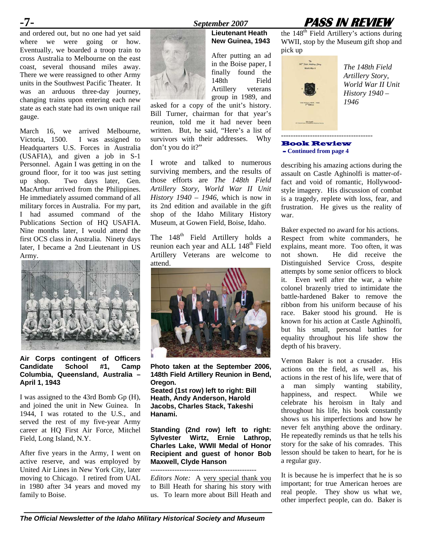and ordered out, but no one had yet said where we were going or how. Eventually, we boarded a troop train to cross Australia to Melbourne on the east coast, several thousand miles away. There we were reassigned to other Army units in the Southwest Pacific Theater. It was an arduous three-day journey, changing trains upon entering each new state as each state had its own unique rail gauge.

March 16, we arrived Melbourne, Victoria, 1500. I was assigned to Headquarters U.S. Forces in Australia (USAFIA), and given a job in S-1 Personnel. Again I was getting in on the ground floor, for it too was just setting up shop. Two days later, Gen. MacArthur arrived from the Philippines. He immediately assumed command of all military forces in Australia. For my part, I had assumed command of the Publications Section of HQ USAFIA. Nine months later, I would attend the first OCS class in Australia. Ninety days later, I became a 2nd Lieutenant in US Army.



**Air Corps contingent of Officers Candidate School #1, Camp Columbia, Queensland, Australia – April 1, 1943** 

I was assigned to the 43rd Bomb Gp (H), and joined the unit in New Guinea. In 1944, I was rotated to the U.S., and served the rest of my five-year Army career at HQ First Air Force, Mitchel Field, Long Island, N.Y.

After five years in the Army, I went on active reserve, and was employed by United Air Lines in New York City, later moving to Chicago. I retired from UAL in 1980 after 34 years and moved my family to Boise.





## **Lieutenant Heath New Guinea, 1943**  After putting an ad in the Boise paper, I

finally found the 148th Field Artillery veterans group in 1989, and

asked for a copy of the unit's history. Bill Turner, chairman for that year's reunion, told me it had never been written. But, he said, "Here's a list of survivors with their addresses. Why don't you do it?"

I wrote and talked to numerous surviving members, and the results of those efforts are *The 148th Field Artillery Story, World War II Unit History 1940 – 1946*, which is now in its 2nd edition and available in the gift shop of the Idaho Military History Museum, at Gowen Field, Boise, Idaho.

The 148<sup>th</sup> Field Artillery holds a reunion each year and ALL 148<sup>th</sup> Field Artillery Veterans are welcome to attend.



**Photo taken at the September 2006, 148th Field Artillery Reunion in Bend, Oregon.** 

**Seated (1st row) left to right: Bill Heath, Andy Anderson, Harold Jacobs, Charles Stack, Takeshi Hanami.** 

**Standing (2nd row) left to right: Sylvester Wirtz, Ernie Lathrop, Charles Lake, WWII Medal of Honor Recipient and guest of honor Bob Maxwell, Clyde Hanson**

--------------------------------------------

*Editors Note:* A very special thank you to Bill Heath for sharing his story with us. To learn more about Bill Heath and the  $148<sup>th</sup>$  Field Artillery's actions during WWII, stop by the Museum gift shop and pick up



*The 148th Field Artillery Story, World War II Unit History 1940 –* 

#### Book Review - **Continued from page 4**

describing his amazing actions during the assault on Castle Aghinolfi is matter-offact and void of romantic, Hollywoodstyle imagery. His discussion of combat is a tragedy, replete with loss, fear, and frustration. He gives us the reality of war.

Baker expected no award for his actions. Respect from white commanders, he explains, meant more. Too often, it was not shown. He did receive the Distinguished Service Cross, despite attempts by some senior officers to block it. Even well after the war, a white colonel brazenly tried to intimidate the battle-hardened Baker to remove the ribbon from his uniform because of his race. Baker stood his ground. He is known for his action at Castle Aghinolfi, but his small, personal battles for equality throughout his life show the depth of his bravery.

Vernon Baker is not a crusader. His actions on the field, as well as, his actions in the rest of his life, were that of a man simply wanting stability, happiness, and respect. While we celebrate his heroism in Italy and throughout his life, his book constantly shows us his imperfections and how he never felt anything above the ordinary. He repeatedly reminds us that he tells his story for the sake of his comrades. This lesson should be taken to heart, for he is a regular guy.

It is because he is imperfect that he is so important; for true American heroes are real people. They show us what we, other imperfect people, can do. Baker is